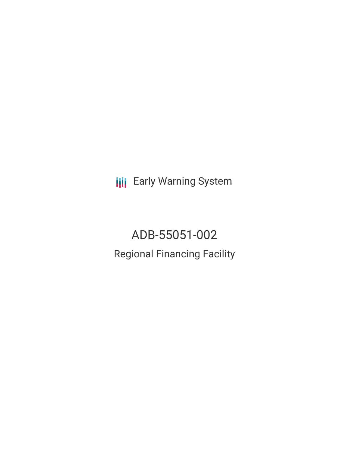**III** Early Warning System

ADB-55051-002 Regional Financing Facility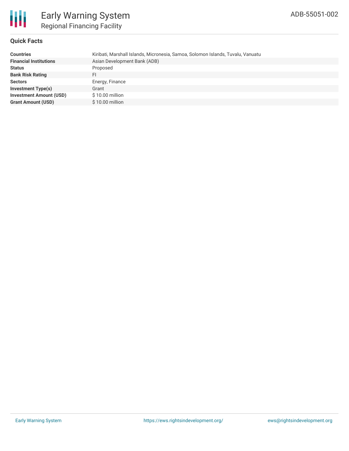

## **Quick Facts**

| <b>Countries</b>               | Kiribati, Marshall Islands, Micronesia, Samoa, Solomon Islands, Tuvalu, Vanuatu |
|--------------------------------|---------------------------------------------------------------------------------|
| <b>Financial Institutions</b>  | Asian Development Bank (ADB)                                                    |
| <b>Status</b>                  | Proposed                                                                        |
| <b>Bank Risk Rating</b>        | FI                                                                              |
| <b>Sectors</b>                 | Energy, Finance                                                                 |
|                                |                                                                                 |
| <b>Investment Type(s)</b>      | Grant                                                                           |
| <b>Investment Amount (USD)</b> | \$10.00 million                                                                 |
| <b>Grant Amount (USD)</b>      | \$10.00 million                                                                 |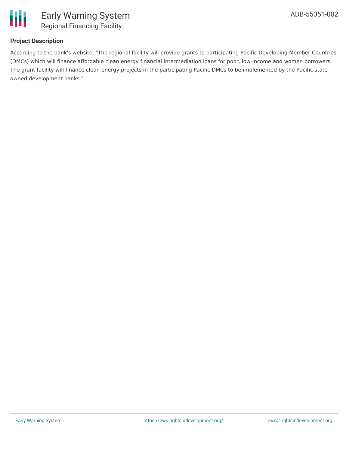

# **Project Description**

According to the bank's website, "The regional facility will provide grants to participating Pacific Developing Member Countries (DMCs) which will finance affordable clean energy financial intermediation loans for poor, low-income and women borrowers. The grant facility will finance clean energy projects in the participating Pacific DMCs to be implemented by the Pacific stateowned development banks."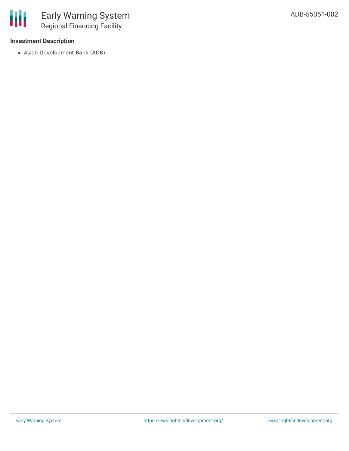

# **Investment Description**

Asian Development Bank (ADB)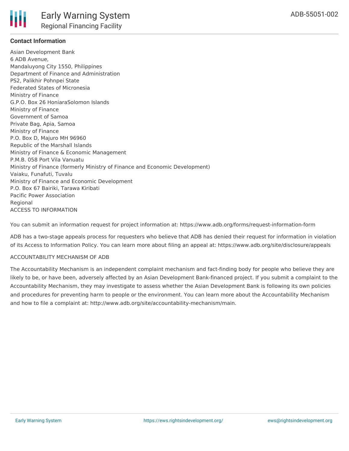

### **Contact Information**

Asian Development Bank 6 ADB Avenue, Mandaluyong City 1550, Philippines Department of Finance and Administration PS2, Palikhir Pohnpei State Federated States of Micronesia Ministry of Finance G.P.O. Box 26 HoniaraSolomon Islands Ministry of Finance Government of Samoa Private Bag, Apia, Samoa Ministry of Finance P.O. Box D, Majuro MH 96960 Republic of the Marshall Islands Ministry of Finance & Economic Management P.M.B. 058 Port Vila Vanuatu Ministry of Finance (formerly Ministry of Finance and Economic Development) Vaiaku, Funafuti, Tuvalu Ministry of Finance and Economic Development P.O. Box 67 Bairiki, Tarawa Kiribati Pacific Power Association **Regional** ACCESS TO INFORMATION

You can submit an information request for project information at: https://www.adb.org/forms/request-information-form

ADB has a two-stage appeals process for requesters who believe that ADB has denied their request for information in violation of its Access to Information Policy. You can learn more about filing an appeal at: https://www.adb.org/site/disclosure/appeals

#### ACCOUNTABILITY MECHANISM OF ADB

The Accountability Mechanism is an independent complaint mechanism and fact-finding body for people who believe they are likely to be, or have been, adversely affected by an Asian Development Bank-financed project. If you submit a complaint to the Accountability Mechanism, they may investigate to assess whether the Asian Development Bank is following its own policies and procedures for preventing harm to people or the environment. You can learn more about the Accountability Mechanism and how to file a complaint at: http://www.adb.org/site/accountability-mechanism/main.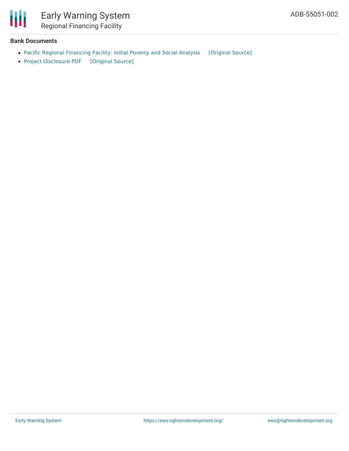

## **Bank Documents**

- Pacific Regional [Financing](https://ewsdata.rightsindevelopment.org/files/documents/02/ADB-55051-002_kckrr5j.pdf) Facility: Initial Poverty and Social Analysis [\[Original](https://www.adb.org/projects/documents/reg-55051-002-ipsa) Source]
- Project [Disclosure](https://ewsdata.rightsindevelopment.org/files/documents/02/ADB-55051-002.pdf) PDF [\[Original](https://www.adb.org/printpdf/projects/55051-002/main) Source]